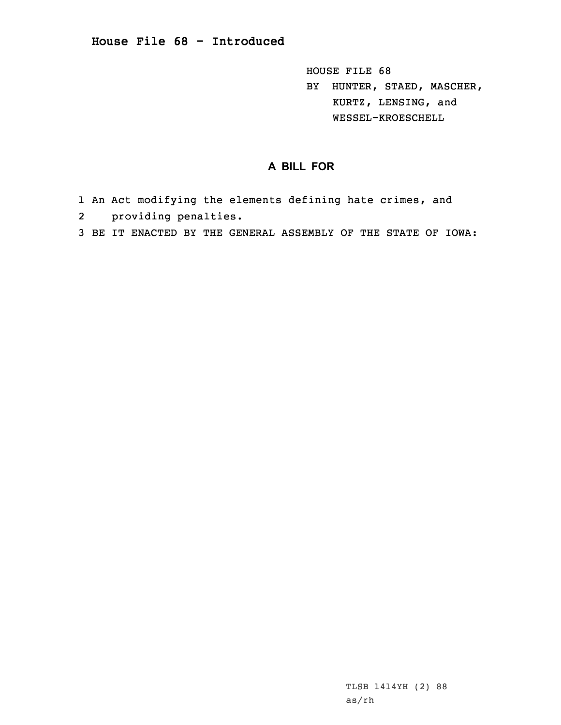HOUSE FILE 68 BY HUNTER, STAED, MASCHER, KURTZ, LENSING, and WESSEL-KROESCHELL

## **A BILL FOR**

- 1 An Act modifying the elements defining hate crimes, and
- 2providing penalties.
- 3 BE IT ENACTED BY THE GENERAL ASSEMBLY OF THE STATE OF IOWA: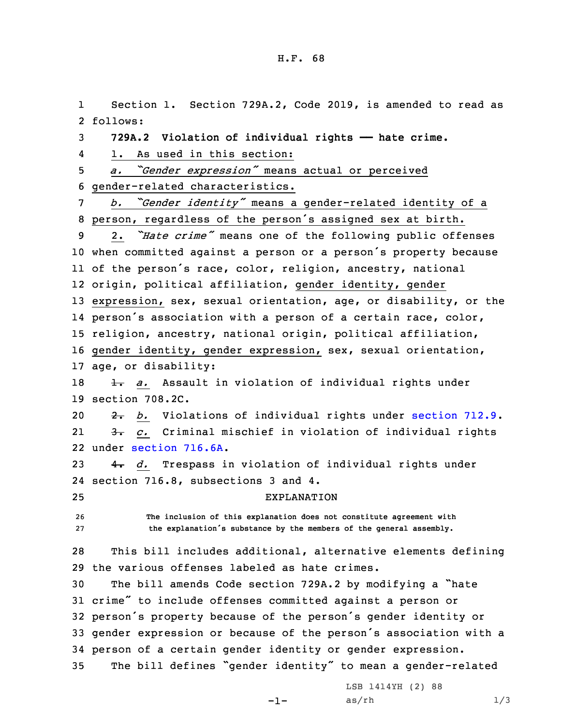1 Section 1. Section 729A.2, Code 2019, is amended to read as 2 follows: **729A.2 Violation of individual rights —— hate crime.** 4 1. As used in this section: *a. "Gender expression"* means actual or perceived gender-related characteristics. *b. "Gender identity"* means <sup>a</sup> gender-related identity of <sup>a</sup> person, regardless of the person's assigned sex at birth. 2. *"Hate crime"* means one of the following public offenses when committed against <sup>a</sup> person or <sup>a</sup> person's property because of the person's race, color, religion, ancestry, national origin, political affiliation, gender identity, gender expression, sex, sexual orientation, age, or disability, or the person's association with <sup>a</sup> person of <sup>a</sup> certain race, color, religion, ancestry, national origin, political affiliation, gender identity, gender expression, sex, sexual orientation, age, or disability: 18 1. a. Assault in violation of individual rights under section 708.2C. 20 2. *b.* Violations of individual rights under [section](https://www.legis.iowa.gov/docs/code/2019/712.9.pdf) 712.9. 21 3. *c.* Criminal mischief in violation of individual rights under [section](https://www.legis.iowa.gov/docs/code/2019/716.6A.pdf) 716.6A. 4. *d.* Trespass in violation of individual rights under section 716.8, subsections 3 and 4. EXPLANATION **The inclusion of this explanation does not constitute agreement with the explanation's substance by the members of the general assembly.** This bill includes additional, alternative elements defining the various offenses labeled as hate crimes. The bill amends Code section 729A.2 by modifying <sup>a</sup> "hate crime" to include offenses committed against <sup>a</sup> person or person's property because of the person's gender identity or gender expression or because of the person's association with <sup>a</sup> person of <sup>a</sup> certain gender identity or gender expression. The bill defines "gender identity" to mean <sup>a</sup> gender-related

-1-

LSB 1414YH (2) 88  $as/rh$   $1/3$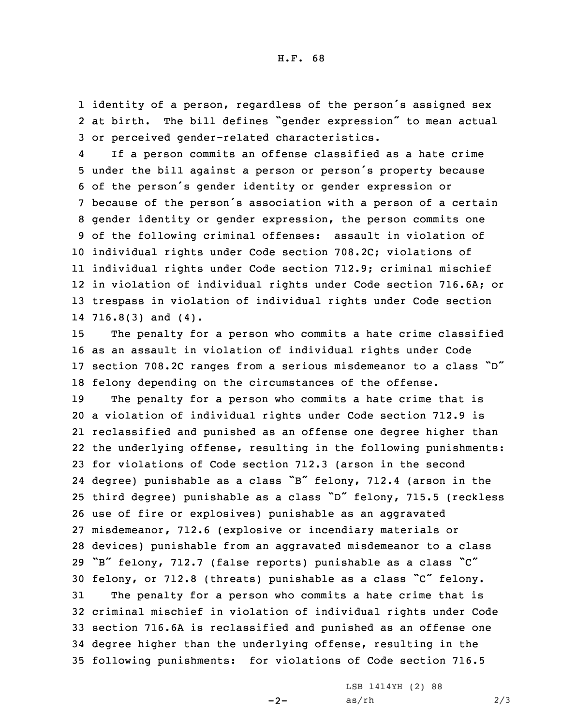1 identity of <sup>a</sup> person, regardless of the person's assigned sex 2 at birth. The bill defines "gender expression" to mean actual 3 or perceived gender-related characteristics.

4 If <sup>a</sup> person commits an offense classified as <sup>a</sup> hate crime under the bill against <sup>a</sup> person or person's property because of the person's gender identity or gender expression or because of the person's association with <sup>a</sup> person of <sup>a</sup> certain gender identity or gender expression, the person commits one of the following criminal offenses: assault in violation of individual rights under Code section 708.2C; violations of individual rights under Code section 712.9; criminal mischief in violation of individual rights under Code section 716.6A; or trespass in violation of individual rights under Code section 716.8(3) and (4).

 The penalty for <sup>a</sup> person who commits <sup>a</sup> hate crime classified as an assault in violation of individual rights under Code section 708.2C ranges from <sup>a</sup> serious misdemeanor to <sup>a</sup> class "D" felony depending on the circumstances of the offense.

 The penalty for <sup>a</sup> person who commits <sup>a</sup> hate crime that is <sup>a</sup> violation of individual rights under Code section 712.9 is reclassified and punished as an offense one degree higher than the underlying offense, resulting in the following punishments: for violations of Code section 712.3 (arson in the second degree) punishable as <sup>a</sup> class "B" felony, 712.4 (arson in the third degree) punishable as <sup>a</sup> class "D" felony, 715.5 (reckless use of fire or explosives) punishable as an aggravated misdemeanor, 712.6 (explosive or incendiary materials or devices) punishable from an aggravated misdemeanor to <sup>a</sup> class "B" felony, 712.7 (false reports) punishable as <sup>a</sup> class "C" felony, or 712.8 (threats) punishable as <sup>a</sup> class "C" felony. The penalty for <sup>a</sup> person who commits <sup>a</sup> hate crime that is criminal mischief in violation of individual rights under Code section 716.6A is reclassified and punished as an offense one degree higher than the underlying offense, resulting in the following punishments: for violations of Code section 716.5

 $-2-$ 

LSB 1414YH (2) 88  $as/rh$  2/3